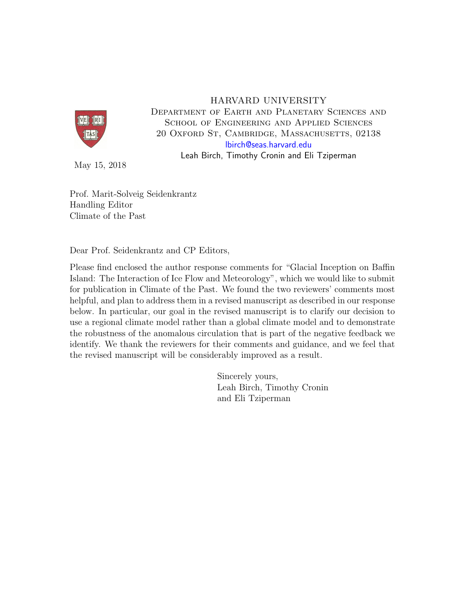

## HARVARD UNIVERSITY

Department of Earth and Planetary Sciences and School of Engineering and Applied Sciences 20 Oxford St, Cambridge, Massachusetts, 02138 [lbirch@seas.harvard.edu](mailto:lbirch@seas.harvard.edu)

Leah Birch, Timothy Cronin and Eli Tziperman

May 15, 2018

Prof. Marit-Solveig Seidenkrantz Handling Editor Climate of the Past

Dear Prof. Seidenkrantz and CP Editors,

Please find enclosed the author response comments for "Glacial Inception on Baffin Island: The Interaction of Ice Flow and Meteorology", which we would like to submit for publication in Climate of the Past. We found the two reviewers' comments most helpful, and plan to address them in a revised manuscript as described in our response below. In particular, our goal in the revised manuscript is to clarify our decision to use a regional climate model rather than a global climate model and to demonstrate the robustness of the anomalous circulation that is part of the negative feedback we identify. We thank the reviewers for their comments and guidance, and we feel that the revised manuscript will be considerably improved as a result.

> Sincerely yours, Leah Birch, Timothy Cronin and Eli Tziperman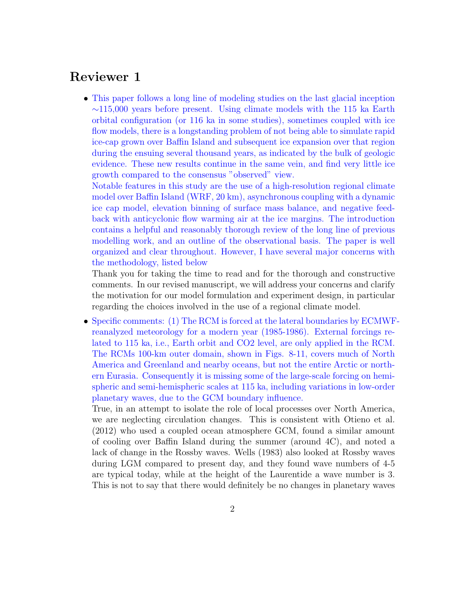## Reviewer 1

• This paper follows a long line of modeling studies on the last glacial inception  $\sim$ 115,000 years before present. Using climate models with the 115 ka Earth orbital configuration (or 116 ka in some studies), sometimes coupled with ice flow models, there is a longstanding problem of not being able to simulate rapid ice-cap grown over Baffin Island and subsequent ice expansion over that region during the ensuing several thousand years, as indicated by the bulk of geologic evidence. These new results continue in the same vein, and find very little ice growth compared to the consensus "observed" view.

Notable features in this study are the use of a high-resolution regional climate model over Baffin Island (WRF, 20 km), asynchronous coupling with a dynamic ice cap model, elevation binning of surface mass balance, and negative feedback with anticyclonic flow warming air at the ice margins. The introduction contains a helpful and reasonably thorough review of the long line of previous modelling work, and an outline of the observational basis. The paper is well organized and clear throughout. However, I have several major concerns with the methodology, listed below

Thank you for taking the time to read and for the thorough and constructive comments. In our revised manuscript, we will address your concerns and clarify the motivation for our model formulation and experiment design, in particular regarding the choices involved in the use of a regional climate model.

• Specific comments: (1) The RCM is forced at the lateral boundaries by ECMWFreanalyzed meteorology for a modern year (1985-1986). External forcings related to 115 ka, i.e., Earth orbit and CO2 level, are only applied in the RCM. The RCMs 100-km outer domain, shown in Figs. 8-11, covers much of North America and Greenland and nearby oceans, but not the entire Arctic or northern Eurasia. Consequently it is missing some of the large-scale forcing on hemispheric and semi-hemispheric scales at 115 ka, including variations in low-order planetary waves, due to the GCM boundary influence.

True, in an attempt to isolate the role of local processes over North America, we are neglecting circulation changes. This is consistent with [Otieno et al.](#page-11-0) [\(2012\)](#page-11-0) who used a coupled ocean atmosphere GCM, found a similar amount of cooling over Baffin Island during the summer (around 4C), and noted a lack of change in the Rossby waves. [Wells](#page-11-1) [\(1983\)](#page-11-1) also looked at Rossby waves during LGM compared to present day, and they found wave numbers of 4-5 are typical today, while at the height of the Laurentide a wave number is 3. This is not to say that there would definitely be no changes in planetary waves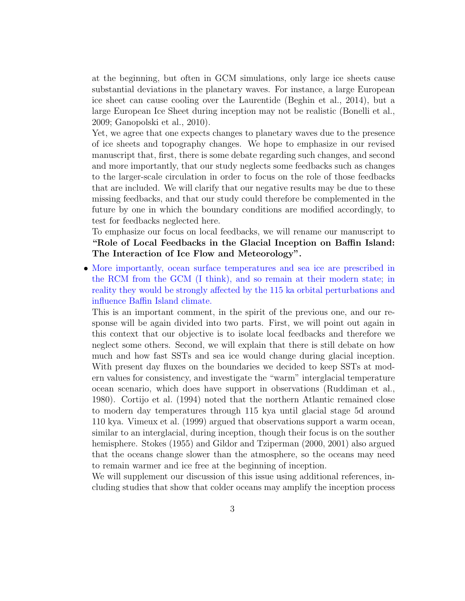at the beginning, but often in GCM simulations, only large ice sheets cause substantial deviations in the planetary waves. For instance, a large European ice sheet can cause cooling over the Laurentide [\(Beghin et al.,](#page-10-0) [2014\)](#page-10-0), but a large European Ice Sheet during inception may not be realistic [\(Bonelli et al.,](#page-10-1) [2009;](#page-10-1) [Ganopolski et al.,](#page-10-2) [2010\)](#page-10-2).

Yet, we agree that one expects changes to planetary waves due to the presence of ice sheets and topography changes. We hope to emphasize in our revised manuscript that, first, there is some debate regarding such changes, and second and more importantly, that our study neglects some feedbacks such as changes to the larger-scale circulation in order to focus on the role of those feedbacks that are included. We will clarify that our negative results may be due to these missing feedbacks, and that our study could therefore be complemented in the future by one in which the boundary conditions are modified accordingly, to test for feedbacks neglected here.

To emphasize our focus on local feedbacks, we will rename our manuscript to "Role of Local Feedbacks in the Glacial Inception on Baffin Island: The Interaction of Ice Flow and Meteorology".

• More importantly, ocean surface temperatures and sea ice are prescribed in the RCM from the GCM (I think), and so remain at their modern state; in reality they would be strongly affected by the 115 ka orbital perturbations and influence Baffin Island climate.

This is an important comment, in the spirit of the previous one, and our response will be again divided into two parts. First, we will point out again in this context that our objective is to isolate local feedbacks and therefore we neglect some others. Second, we will explain that there is still debate on how much and how fast SSTs and sea ice would change during glacial inception. With present day fluxes on the boundaries we decided to keep SSTs at modern values for consistency, and investigate the "warm" interglacial temperature ocean scenario, which does have support in observations [\(Ruddiman et al.,](#page-11-2) [1980\)](#page-11-2). [Cortijo et al.](#page-10-3) [\(1994\)](#page-10-3) noted that the northern Atlantic remained close to modern day temperatures through 115 kya until glacial stage 5d around 110 kya. [Vimeux et al.](#page-11-3) [\(1999\)](#page-11-3) argued that observations support a warm ocean, similar to an interglacial, during inception, though their focus is on the souther hemisphere. [Stokes](#page-11-4) [\(1955\)](#page-11-4) and [Gildor and Tziperman](#page-10-4) [\(2000,](#page-10-4) [2001\)](#page-10-5) also argued that the oceans change slower than the atmosphere, so the oceans may need to remain warmer and ice free at the beginning of inception.

We will supplement our discussion of this issue using additional references, including studies that show that colder oceans may amplify the inception process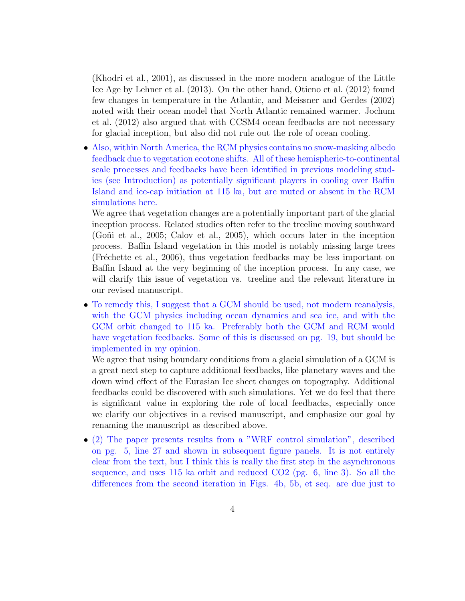[\(Khodri et al.,](#page-11-5) [2001\)](#page-11-5), as discussed in the more modern analogue of the Little Ice Age by [Lehner et al.](#page-11-6) [\(2013\)](#page-11-6). On the other hand, [Otieno et al.](#page-11-0) [\(2012\)](#page-11-0) found few changes in temperature in the Atlantic, and [Meissner and Gerdes](#page-11-7) [\(2002\)](#page-11-7) noted with their ocean model that North Atlantic remained warmer. [Jochum](#page-11-8) [et al.](#page-11-8) [\(2012\)](#page-11-8) also argued that with CCSM4 ocean feedbacks are not necessary for glacial inception, but also did not rule out the role of ocean cooling.

• Also, within North America, the RCM physics contains no snow-masking albedo feedback due to vegetation ecotone shifts. All of these hemispheric-to-continental scale processes and feedbacks have been identified in previous modeling studies (see Introduction) as potentially significant players in cooling over Baffin Island and ice-cap initiation at 115 ka, but are muted or absent in the RCM simulations here.

We agree that vegetation changes are a potentially important part of the glacial inception process. Related studies often refer to the treeline moving southward [\(Go˜ni et al.,](#page-10-6) [2005;](#page-10-6) [Calov et al.,](#page-10-7) [2005\)](#page-10-7), which occurs later in the inception process. Baffin Island vegetation in this model is notably missing large trees (Fréchette et al., [2006\)](#page-10-8), thus vegetation feedbacks may be less important on Baffin Island at the very beginning of the inception process. In any case, we will clarify this issue of vegetation vs. treeline and the relevant literature in our revised manuscript.

• To remedy this, I suggest that a GCM should be used, not modern reanalysis, with the GCM physics including ocean dynamics and sea ice, and with the GCM orbit changed to 115 ka. Preferably both the GCM and RCM would have vegetation feedbacks. Some of this is discussed on pg. 19, but should be implemented in my opinion.

We agree that using boundary conditions from a glacial simulation of a GCM is a great next step to capture additional feedbacks, like planetary waves and the down wind effect of the Eurasian Ice sheet changes on topography. Additional feedbacks could be discovered with such simulations. Yet we do feel that there is significant value in exploring the role of local feedbacks, especially once we clarify our objectives in a revised manuscript, and emphasize our goal by renaming the manuscript as described above.

• (2) The paper presents results from a "WRF control simulation", described on pg. 5, line 27 and shown in subsequent figure panels. It is not entirely clear from the text, but I think this is really the first step in the asynchronous sequence, and uses 115 ka orbit and reduced CO2 (pg. 6, line 3). So all the differences from the second iteration in Figs. 4b, 5b, et seq. are due just to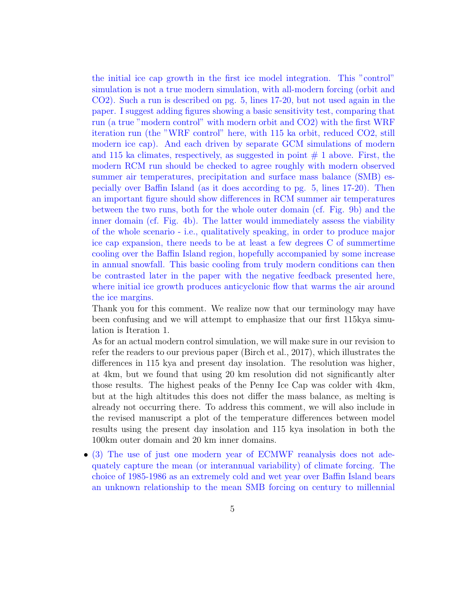the initial ice cap growth in the first ice model integration. This "control" simulation is not a true modern simulation, with all-modern forcing (orbit and CO2). Such a run is described on pg. 5, lines 17-20, but not used again in the paper. I suggest adding figures showing a basic sensitivity test, comparing that run (a true "modern control" with modern orbit and CO2) with the first WRF iteration run (the "WRF control" here, with 115 ka orbit, reduced CO2, still modern ice cap). And each driven by separate GCM simulations of modern and 115 ka climates, respectively, as suggested in point  $# 1$  above. First, the modern RCM run should be checked to agree roughly with modern observed summer air temperatures, precipitation and surface mass balance (SMB) especially over Baffin Island (as it does according to pg. 5, lines 17-20). Then an important figure should show differences in RCM summer air temperatures between the two runs, both for the whole outer domain (cf. Fig. 9b) and the inner domain (cf. Fig. 4b). The latter would immediately assess the viability of the whole scenario - i.e., qualitatively speaking, in order to produce major ice cap expansion, there needs to be at least a few degrees C of summertime cooling over the Baffin Island region, hopefully accompanied by some increase in annual snowfall. This basic cooling from truly modern conditions can then be contrasted later in the paper with the negative feedback presented here, where initial ice growth produces anticyclonic flow that warms the air around the ice margins.

Thank you for this comment. We realize now that our terminology may have been confusing and we will attempt to emphasize that our first 115kya simulation is Iteration 1.

As for an actual modern control simulation, we will make sure in our revision to refer the readers to our previous paper [\(Birch et al.,](#page-10-9) [2017\)](#page-10-9), which illustrates the differences in 115 kya and present day insolation. The resolution was higher, at 4km, but we found that using 20 km resolution did not significantly alter those results. The highest peaks of the Penny Ice Cap was colder with 4km, but at the high altitudes this does not differ the mass balance, as melting is already not occurring there. To address this comment, we will also include in the revised manuscript a plot of the temperature differences between model results using the present day insolation and 115 kya insolation in both the 100km outer domain and 20 km inner domains.

• (3) The use of just one modern year of ECMWF reanalysis does not adequately capture the mean (or interannual variability) of climate forcing. The choice of 1985-1986 as an extremely cold and wet year over Baffin Island bears an unknown relationship to the mean SMB forcing on century to millennial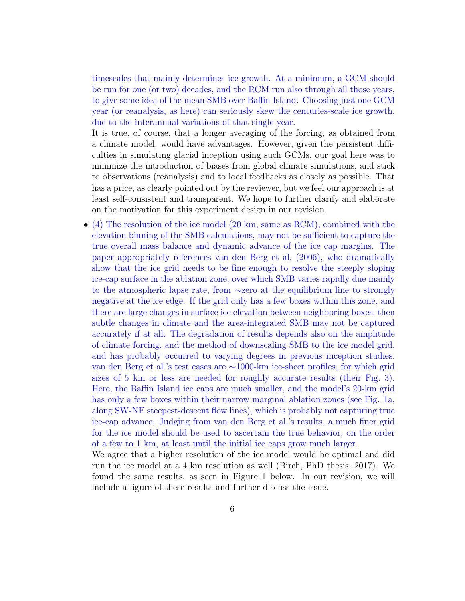timescales that mainly determines ice growth. At a minimum, a GCM should be run for one (or two) decades, and the RCM run also through all those years, to give some idea of the mean SMB over Baffin Island. Choosing just one GCM year (or reanalysis, as here) can seriously skew the centuries-scale ice growth, due to the interannual variations of that single year.

It is true, of course, that a longer averaging of the forcing, as obtained from a climate model, would have advantages. However, given the persistent difficulties in simulating glacial inception using such GCMs, our goal here was to minimize the introduction of biases from global climate simulations, and stick to observations (reanalysis) and to local feedbacks as closely as possible. That has a price, as clearly pointed out by the reviewer, but we feel our approach is at least self-consistent and transparent. We hope to further clarify and elaborate on the motivation for this experiment design in our revision.

• (4) The resolution of the ice model (20 km, same as RCM), combined with the elevation binning of the SMB calculations, may not be sufficient to capture the true overall mass balance and dynamic advance of the ice cap margins. The paper appropriately references van den Berg et al. (2006), who dramatically show that the ice grid needs to be fine enough to resolve the steeply sloping ice-cap surface in the ablation zone, over which SMB varies rapidly due mainly to the atmospheric lapse rate, from ∼zero at the equilibrium line to strongly negative at the ice edge. If the grid only has a few boxes within this zone, and there are large changes in surface ice elevation between neighboring boxes, then subtle changes in climate and the area-integrated SMB may not be captured accurately if at all. The degradation of results depends also on the amplitude of climate forcing, and the method of downscaling SMB to the ice model grid, and has probably occurred to varying degrees in previous inception studies. van den Berg et al.'s test cases are ∼1000-km ice-sheet profiles, for which grid sizes of 5 km or less are needed for roughly accurate results (their Fig. 3). Here, the Baffin Island ice caps are much smaller, and the model's 20-km grid has only a few boxes within their narrow marginal ablation zones (see Fig. 1a, along SW-NE steepest-descent flow lines), which is probably not capturing true ice-cap advance. Judging from van den Berg et al.'s results, a much finer grid for the ice model should be used to ascertain the true behavior, on the order of a few to 1 km, at least until the initial ice caps grow much larger.

We agree that a higher resolution of the ice model would be optimal and did run the ice model at a 4 km resolution as well (Birch, PhD thesis, 2017). We found the same results, as seen in Figure 1 below. In our revision, we will include a figure of these results and further discuss the issue.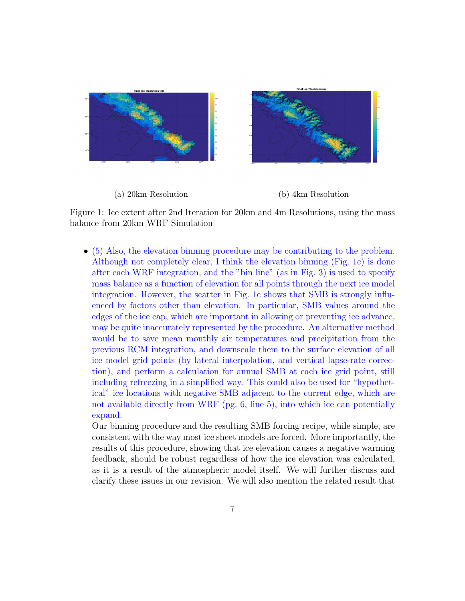

Figure 1: Ice extent after 2nd Iteration for 20km and 4m Resolutions, using the mass balance from 20km WRF Simulation

• (5) Also, the elevation binning procedure may be contributing to the problem. Although not completely clear, I think the elevation binning (Fig. 1c) is done after each WRF integration, and the "bin line" (as in Fig. 3) is used to specify mass balance as a function of elevation for all points through the next ice model integration. However, the scatter in Fig. 1c shows that SMB is strongly influenced by factors other than elevation. In particular, SMB values around the edges of the ice cap, which are important in allowing or preventing ice advance, may be quite inaccurately represented by the procedure. An alternative method would be to save mean monthly air temperatures and precipitation from the previous RCM integration, and downscale them to the surface elevation of all ice model grid points (by lateral interpolation, and vertical lapse-rate correction), and perform a calculation for annual SMB at each ice grid point, still including refreezing in a simplified way. This could also be used for "hypothetical" ice locations with negative SMB adjacent to the current edge, which are not available directly from WRF (pg. 6, line 5), into which ice can potentially expand.

Our binning procedure and the resulting SMB forcing recipe, while simple, are consistent with the way most ice sheet models are forced. More importantly, the results of this procedure, showing that ice elevation causes a negative warming feedback, should be robust regardless of how the ice elevation was calculated, as it is a result of the atmospheric model itself. We will further discuss and clarify these issues in our revision. We will also mention the related result that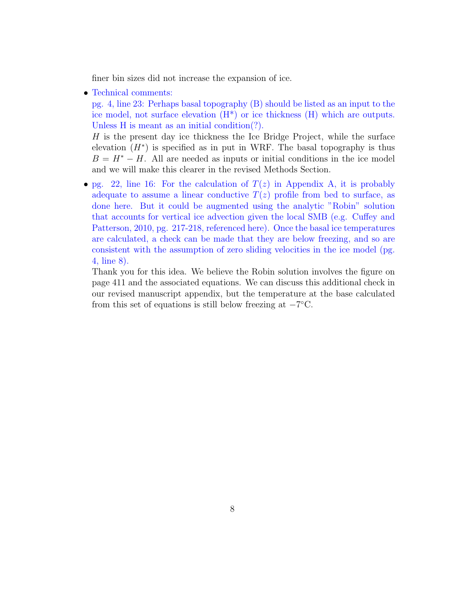finer bin sizes did not increase the expansion of ice.

• Technical comments:

pg. 4, line 23: Perhaps basal topography (B) should be listed as an input to the ice model, not surface elevation  $(H^*)$  or ice thickness  $(H)$  which are outputs. Unless H is meant as an initial condition(?).

H is the present day ice thickness the Ice Bridge Project, while the surface elevation  $(H^*)$  is specified as in put in WRF. The basal topography is thus  $B = H^* - H$ . All are needed as inputs or initial conditions in the ice model and we will make this clearer in the revised Methods Section.

• pg. 22, line 16: For the calculation of  $T(z)$  in Appendix A, it is probably adequate to assume a linear conductive  $T(z)$  profile from bed to surface, as done here. But it could be augmented using the analytic "Robin" solution that accounts for vertical ice advection given the local SMB (e.g. Cuffey and Patterson, 2010, pg. 217-218, referenced here). Once the basal ice temperatures are calculated, a check can be made that they are below freezing, and so are consistent with the assumption of zero sliding velocities in the ice model (pg. 4, line 8).

Thank you for this idea. We believe the Robin solution involves the figure on page 411 and the associated equations. We can discuss this additional check in our revised manuscript appendix, but the temperature at the base calculated from this set of equations is still below freezing at  $-7^{\circ}$ C.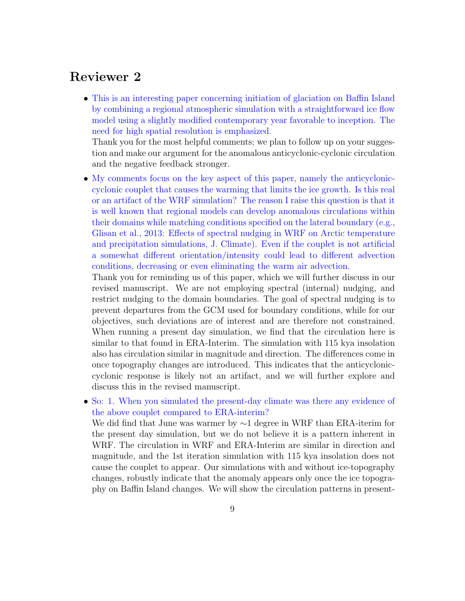## Reviewer 2

• This is an interesting paper concerning initiation of glaciation on Baffin Island by combining a regional atmospheric simulation with a straightforward ice flow model using a slightly modified contemporary year favorable to inception. The need for high spatial resolution is emphasized.

Thank you for the most helpful comments; we plan to follow up on your suggestion and make our argument for the anomalous anticyclonic-cyclonic circulation and the negative feedback stronger.

• My comments focus on the key aspect of this paper, namely the anticycloniccyclonic couplet that causes the warming that limits the ice growth. Is this real or an artifact of the WRF simulation? The reason I raise this question is that it is well known that regional models can develop anomalous circulations within their domains while matching conditions specified on the lateral boundary (e.g., Glisan et al., 2013: Effects of spectral nudging in WRF on Arctic temperature and precipitation simulations, J. Climate). Even if the couplet is not artificial a somewhat different orientation/intensity could lead to different advection conditions, decreasing or even eliminating the warm air advection.

Thank you for reminding us of this paper, which we will further discuss in our revised manuscript. We are not employing spectral (internal) nudging, and restrict nudging to the domain boundaries. The goal of spectral nudging is to prevent departures from the GCM used for boundary conditions, while for our objectives, such deviations are of interest and are therefore not constrained. When running a present day simulation, we find that the circulation here is similar to that found in ERA-Interim. The simulation with 115 kya insolation also has circulation similar in magnitude and direction. The differences come in once topography changes are introduced. This indicates that the anticycloniccyclonic response is likely not an artifact, and we will further explore and discuss this in the revised manuscript.

• So: 1. When you simulated the present-day climate was there any evidence of the above couplet compared to ERA-interim?

We did find that June was warmer by ∼1 degree in WRF than ERA-iterim for the present day simulation, but we do not believe it is a pattern inherent in WRF. The circulation in WRF and ERA-Interim are similar in direction and magnitude, and the 1st iteration simulation with 115 kya insolation does not cause the couplet to appear. Our simulations with and without ice-topography changes, robustly indicate that the anomaly appears only once the ice topography on Baffin Island changes. We will show the circulation patterns in present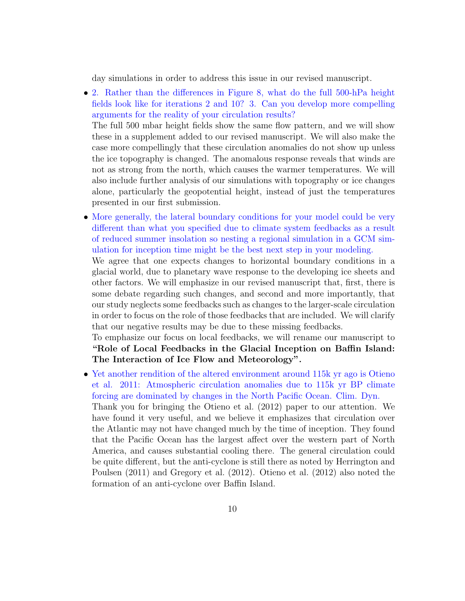day simulations in order to address this issue in our revised manuscript.

• 2. Rather than the differences in Figure 8, what do the full 500-hPa height fields look like for iterations 2 and 10? 3. Can you develop more compelling arguments for the reality of your circulation results?

The full 500 mbar height fields show the same flow pattern, and we will show these in a supplement added to our revised manuscript. We will also make the case more compellingly that these circulation anomalies do not show up unless the ice topography is changed. The anomalous response reveals that winds are not as strong from the north, which causes the warmer temperatures. We will also include further analysis of our simulations with topography or ice changes alone, particularly the geopotential height, instead of just the temperatures presented in our first submission.

• More generally, the lateral boundary conditions for your model could be very different than what you specified due to climate system feedbacks as a result of reduced summer insolation so nesting a regional simulation in a GCM simulation for inception time might be the best next step in your modeling.

We agree that one expects changes to horizontal boundary conditions in a glacial world, due to planetary wave response to the developing ice sheets and other factors. We will emphasize in our revised manuscript that, first, there is some debate regarding such changes, and second and more importantly, that our study neglects some feedbacks such as changes to the larger-scale circulation in order to focus on the role of those feedbacks that are included. We will clarify that our negative results may be due to these missing feedbacks.

To emphasize our focus on local feedbacks, we will rename our manuscript to "Role of Local Feedbacks in the Glacial Inception on Baffin Island: The Interaction of Ice Flow and Meteorology".

• Yet another rendition of the altered environment around 115k yr ago is Otieno et al. 2011: Atmospheric circulation anomalies due to 115k yr BP climate forcing are dominated by changes in the North Pacific Ocean. Clim. Dyn. Thank you for bringing the [Otieno et al.](#page-11-0) [\(2012\)](#page-11-0) paper to our attention. We have found it very useful, and we believe it emphasizes that circulation over the Atlantic may not have changed much by the time of inception. They found that the Pacific Ocean has the largest affect over the western part of North America, and causes substantial cooling there. The general circulation could be quite different, but the anti-cyclone is still there as noted by [Herrington and](#page-11-9) [Poulsen](#page-11-9) [\(2011\)](#page-11-9) and [Gregory et al.](#page-10-10) [\(2012\)](#page-10-10). [Otieno et al.](#page-11-0) [\(2012\)](#page-11-0) also noted the formation of an anti-cyclone over Baffin Island.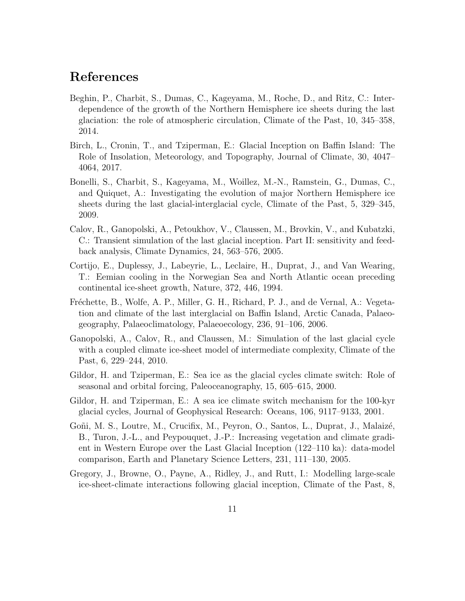## References

- <span id="page-10-0"></span>Beghin, P., Charbit, S., Dumas, C., Kageyama, M., Roche, D., and Ritz, C.: Interdependence of the growth of the Northern Hemisphere ice sheets during the last glaciation: the role of atmospheric circulation, Climate of the Past, 10, 345–358, 2014.
- <span id="page-10-9"></span>Birch, L., Cronin, T., and Tziperman, E.: Glacial Inception on Baffin Island: The Role of Insolation, Meteorology, and Topography, Journal of Climate, 30, 4047– 4064, 2017.
- <span id="page-10-1"></span>Bonelli, S., Charbit, S., Kageyama, M., Woillez, M.-N., Ramstein, G., Dumas, C., and Quiquet, A.: Investigating the evolution of major Northern Hemisphere ice sheets during the last glacial-interglacial cycle, Climate of the Past, 5, 329–345, 2009.
- <span id="page-10-7"></span>Calov, R., Ganopolski, A., Petoukhov, V., Claussen, M., Brovkin, V., and Kubatzki, C.: Transient simulation of the last glacial inception. Part II: sensitivity and feedback analysis, Climate Dynamics, 24, 563–576, 2005.
- <span id="page-10-3"></span>Cortijo, E., Duplessy, J., Labeyrie, L., Leclaire, H., Duprat, J., and Van Wearing, T.: Eemian cooling in the Norwegian Sea and North Atlantic ocean preceding continental ice-sheet growth, Nature, 372, 446, 1994.
- <span id="page-10-8"></span>Fréchette, B., Wolfe, A. P., Miller, G. H., Richard, P. J., and de Vernal, A.: Vegetation and climate of the last interglacial on Baffin Island, Arctic Canada, Palaeogeography, Palaeoclimatology, Palaeoecology, 236, 91–106, 2006.
- <span id="page-10-2"></span>Ganopolski, A., Calov, R., and Claussen, M.: Simulation of the last glacial cycle with a coupled climate ice-sheet model of intermediate complexity, Climate of the Past, 6, 229–244, 2010.
- <span id="page-10-4"></span>Gildor, H. and Tziperman, E.: Sea ice as the glacial cycles climate switch: Role of seasonal and orbital forcing, Paleoceanography, 15, 605–615, 2000.
- <span id="page-10-5"></span>Gildor, H. and Tziperman, E.: A sea ice climate switch mechanism for the 100-kyr glacial cycles, Journal of Geophysical Research: Oceans, 106, 9117–9133, 2001.
- <span id="page-10-6"></span>Goñi, M. S., Loutre, M., Crucifix, M., Peyron, O., Santos, L., Duprat, J., Malaizé, B., Turon, J.-L., and Peypouquet, J.-P.: Increasing vegetation and climate gradient in Western Europe over the Last Glacial Inception (122–110 ka): data-model comparison, Earth and Planetary Science Letters, 231, 111–130, 2005.
- <span id="page-10-10"></span>Gregory, J., Browne, O., Payne, A., Ridley, J., and Rutt, I.: Modelling large-scale ice-sheet-climate interactions following glacial inception, Climate of the Past, 8,